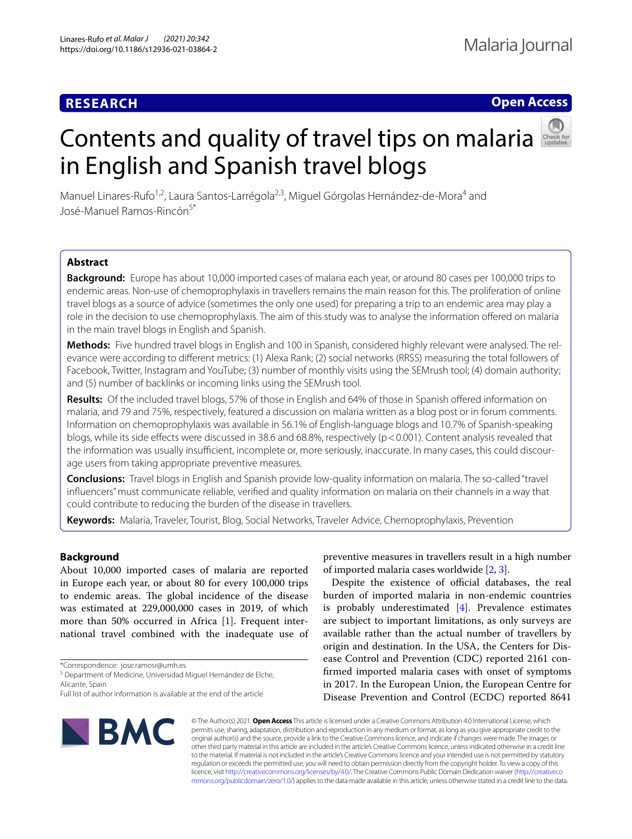# **RESEARCH**

## **Open Access**

# Contentsand quality of travel tips on malaria in English and Spanish travel blogs



Manuel Linares-Rufo<sup>1,2</sup>, Laura Santos-Larrégola<sup>2,3</sup>, Miguel Górgolas Hernández-de-Mora<sup>4</sup> and José-Manuel Ramos-Rincón<sup>5\*</sup>

## **Abstract**

**Background:** Europe has about 10,000 imported cases of malaria each year, or around 80 cases per 100,000 trips to endemic areas. Non-use of chemoprophylaxis in travellers remains the main reason for this. The proliferation of online travel blogs as a source of advice (sometimes the only one used) for preparing a trip to an endemic area may play a role in the decision to use chemoprophylaxis. The aim of this study was to analyse the information ofered on malaria in the main travel blogs in English and Spanish.

**Methods:** Five hundred travel blogs in English and 100 in Spanish, considered highly relevant were analysed. The rel‑ evance were according to diferent metrics: (1) Alexa Rank; (2) social networks (RRSS) measuring the total followers of Facebook, Twitter, Instagram and YouTube; (3) number of monthly visits using the SEMrush tool; (4) domain authority; and (5) number of backlinks or incoming links using the SEMrush tool.

**Results:** Of the included travel blogs, 57% of those in English and 64% of those in Spanish ofered information on malaria, and 79 and 75%, respectively, featured a discussion on malaria written as a blog post or in forum comments. Information on chemoprophylaxis was available in 56.1% of English-language blogs and 10.7% of Spanish-speaking blogs, while its side effects were discussed in 38.6 and 68.8%, respectively (p < 0.001). Content analysis revealed that the information was usually insufficient, incomplete or, more seriously, inaccurate. In many cases, this could discourage users from taking appropriate preventive measures.

**Conclusions:** Travel blogs in English and Spanish provide low-quality information on malaria. The so-called "travel infuencers" must communicate reliable, verifed and quality information on malaria on their channels in a way that could contribute to reducing the burden of the disease in travellers.

**Keywords:** Malaria, Traveler, Tourist, Blog, Social Networks, Traveler Advice, Chemoprophylaxis, Prevention

## **Background**

About 10,000 imported cases of malaria are reported in Europe each year, or about 80 for every 100,000 trips to endemic areas. The global incidence of the disease was estimated at 229,000,000 cases in 2019, of which more than 50% occurred in Africa [\[1](#page-3-0)]. Frequent international travel combined with the inadequate use of

\*Correspondence: jose.ramosr@umh.es

<sup>5</sup> Department of Medicine, Universidad Miguel Hernández de Elche, Alicante, Spain

preventive measures in travellers result in a high number of imported malaria cases worldwide [[2,](#page-3-1) [3](#page-3-2)].

Despite the existence of official databases, the real burden of imported malaria in non-endemic countries is probably underestimated [\[4](#page-3-3)]. Prevalence estimates are subject to important limitations, as only surveys are available rather than the actual number of travellers by origin and destination. In the USA, the Centers for Disease Control and Prevention (CDC) reported 2161 confrmed imported malaria cases with onset of symptoms in 2017. In the European Union, the European Centre for Disease Prevention and Control (ECDC) reported 8641



© The Author(s) 2021. **Open Access** This article is licensed under a Creative Commons Attribution 4.0 International License, which permits use, sharing, adaptation, distribution and reproduction in any medium or format, as long as you give appropriate credit to the original author(s) and the source, provide a link to the Creative Commons licence, and indicate if changes were made. The images or other third party material in this article are included in the article's Creative Commons licence, unless indicated otherwise in a credit line to the material. If material is not included in the article's Creative Commons licence and your intended use is not permitted by statutory regulation or exceeds the permitted use, you will need to obtain permission directly from the copyright holder. To view a copy of this licence, visit [http://creativecommons.org/licenses/by/4.0/.](http://creativecommons.org/licenses/by/4.0/) The Creative Commons Public Domain Dedication waiver ([http://creativeco](http://creativecommons.org/publicdomain/zero/1.0/) [mmons.org/publicdomain/zero/1.0/](http://creativecommons.org/publicdomain/zero/1.0/)) applies to the data made available in this article, unless otherwise stated in a credit line to the data.

Full list of author information is available at the end of the article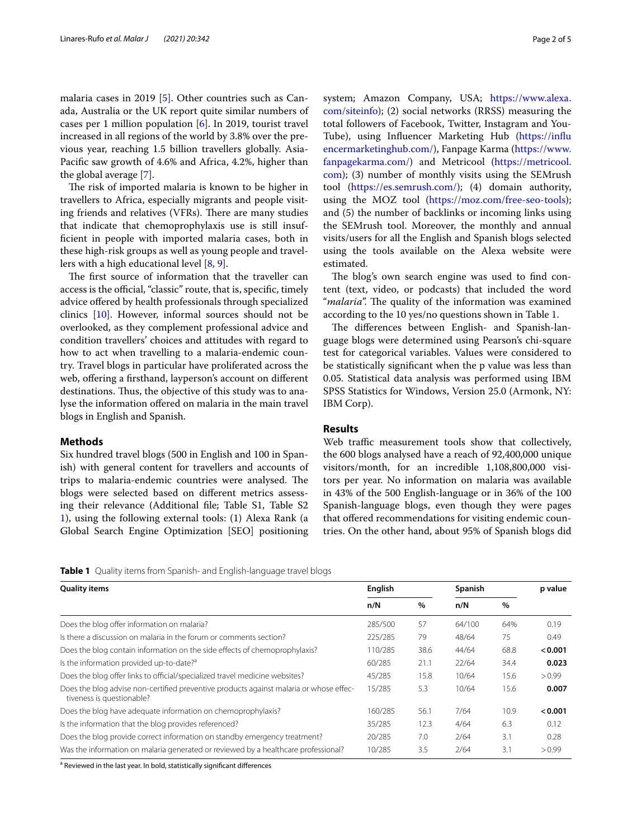malaria cases in 2019 [\[5\]](#page-3-4). Other countries such as Canada, Australia or the UK report quite similar numbers of cases per 1 million population [[6\]](#page-3-5). In 2019, tourist travel increased in all regions of the world by 3.8% over the previous year, reaching 1.5 billion travellers globally. Asia-Pacifc saw growth of 4.6% and Africa, 4.2%, higher than the global average [\[7](#page-3-6)].

The risk of imported malaria is known to be higher in travellers to Africa, especially migrants and people visiting friends and relatives (VFRs). There are many studies that indicate that chemoprophylaxis use is still insuffcient in people with imported malaria cases, both in these high-risk groups as well as young people and travellers with a high educational level [\[8](#page-3-7), [9\]](#page-3-8).

The first source of information that the traveller can access is the official, "classic" route, that is, specific, timely advice ofered by health professionals through specialized clinics [[10\]](#page-3-9). However, informal sources should not be overlooked, as they complement professional advice and condition travellers' choices and attitudes with regard to how to act when travelling to a malaria-endemic country. Travel blogs in particular have proliferated across the web, offering a firsthand, layperson's account on different destinations. Thus, the objective of this study was to analyse the information ofered on malaria in the main travel blogs in English and Spanish.

## **Methods**

Six hundred travel blogs (500 in English and 100 in Spanish) with general content for travellers and accounts of trips to malaria-endemic countries were analysed. The blogs were selected based on diferent metrics assessing their relevance (Additional fle; Table S1, Table S2 [1\)](#page-3-10), using the following external tools: (1) Alexa Rank (a Global Search Engine Optimization [SEO] positioning system; Amazon Company, USA; [https://www.alexa.](https://www.alexa.com/siteinfo) [com/siteinfo](https://www.alexa.com/siteinfo)); (2) social networks (RRSS) measuring the total followers of Facebook, Twitter, Instagram and You-Tube), using Infuencer Marketing Hub [\(https://infu](https://influencermarketinghub.com/) [encermarketinghub.com/](https://influencermarketinghub.com/)), Fanpage Karma [\(https://www.](https://www.fanpagekarma.com/) [fanpagekarma.com/](https://www.fanpagekarma.com/)) and Metricool [\(https://metricool.](https://metricool.com) [com](https://metricool.com)); (3) number of monthly visits using the SEMrush tool ([https://es.semrush.com/\)](https://es.semrush.com/); (4) domain authority, using the MOZ tool [\(https://moz.com/free-seo-tools](https://moz.com/free-seo-tools)); and (5) the number of backlinks or incoming links using the SEMrush tool. Moreover, the monthly and annual visits/users for all the English and Spanish blogs selected using the tools available on the Alexa website were estimated.

The blog's own search engine was used to find content (text, video, or podcasts) that included the word "*malaria*". The quality of the information was examined according to the 10 yes/no questions shown in Table [1.](#page-1-0)

The differences between English- and Spanish-language blogs were determined using Pearson's chi-square test for categorical variables. Values were considered to be statistically signifcant when the p value was less than 0.05. Statistical data analysis was performed using IBM SPSS Statistics for Windows, Version 25.0 (Armonk, NY: IBM Corp).

## **Results**

Web traffic measurement tools show that collectively, the 600 blogs analysed have a reach of 92,400,000 unique visitors/month, for an incredible 1,108,800,000 visitors per year. No information on malaria was available in 43% of the 500 English-language or in 36% of the 100 Spanish-language blogs, even though they were pages that offered recommendations for visiting endemic countries. On the other hand, about 95% of Spanish blogs did

<span id="page-1-0"></span>

|  |  |  | Table 1 Quality items from Spanish- and English-language travel blogs |
|--|--|--|-----------------------------------------------------------------------|
|  |  |  |                                                                       |

| <b>Quality items</b>                                                                                                | English |      | Spanish |      | p value |
|---------------------------------------------------------------------------------------------------------------------|---------|------|---------|------|---------|
|                                                                                                                     | n/N     | $\%$ | n/N     | $\%$ |         |
| Does the blog offer information on malaria?                                                                         | 285/500 | 57   | 64/100  | 64%  | 0.19    |
| Is there a discussion on malaria in the forum or comments section?                                                  | 225/285 | 79   | 48/64   | 75   | 0.49    |
| Does the blog contain information on the side effects of chemoprophylaxis?                                          | 110/285 | 38.6 | 44/64   | 68.8 | < 0.001 |
| Is the information provided up-to-date? <sup>a</sup>                                                                |         | 21.1 | 22/64   | 34.4 | 0.023   |
| Does the blog offer links to official/specialized travel medicine websites?                                         |         | 15.8 | 10/64   | 15.6 | > 0.99  |
| Does the blog advise non-certified preventive products against malaria or whose effec-<br>tiveness is questionable? |         | 5.3  | 10/64   | 15.6 | 0.007   |
| Does the blog have adequate information on chemoprophylaxis?                                                        |         | 56.1 | 7/64    | 10.9 | < 0.001 |
| Is the information that the blog provides referenced?                                                               |         | 12.3 | 4/64    | 6.3  | 0.12    |
| Does the blog provide correct information on standby emergency treatment?                                           |         | 7.0  | 2/64    | 3.1  | 0.28    |
| Was the information on malaria generated or reviewed by a healthcare professional?                                  | 10/285  | 3.5  | 2/64    | 3.1  | > 0.99  |

<sup>a</sup> Reviewed in the last year. In bold, statistically significant differences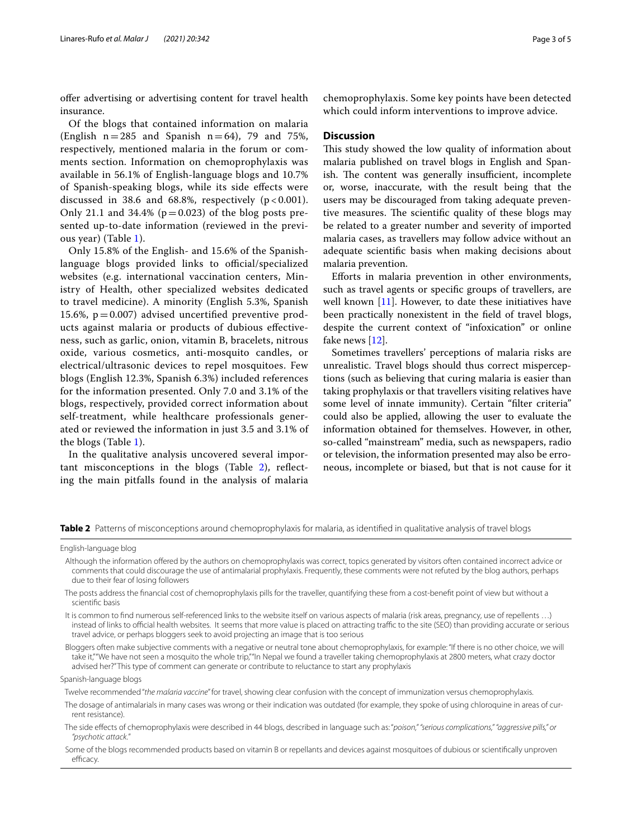ofer advertising or advertising content for travel health insurance.

Of the blogs that contained information on malaria (English  $n=285$  and Spanish  $n=64$ ), 79 and 75%, respectively, mentioned malaria in the forum or comments section. Information on chemoprophylaxis was available in 56.1% of English-language blogs and 10.7% of Spanish-speaking blogs, while its side efects were discussed in 38.6 and 68.8%, respectively  $(p < 0.001)$ . Only 21.1 and 34.4% ( $p=0.023$ ) of the blog posts presented up-to-date information (reviewed in the previous year) (Table [1](#page-1-0)).

Only 15.8% of the English- and 15.6% of the Spanishlanguage blogs provided links to official/specialized websites (e.g. international vaccination centers, Ministry of Health, other specialized websites dedicated to travel medicine). A minority (English 5.3%, Spanish 15.6%,  $p = 0.007$ ) advised uncertified preventive products against malaria or products of dubious efectiveness, such as garlic, onion, vitamin B, bracelets, nitrous oxide, various cosmetics, anti-mosquito candles, or electrical/ultrasonic devices to repel mosquitoes. Few blogs (English 12.3%, Spanish 6.3%) included references for the information presented. Only 7.0 and 3.1% of the blogs, respectively, provided correct information about self-treatment, while healthcare professionals generated or reviewed the information in just 3.5 and 3.1% of the blogs (Table [1](#page-1-0)).

In the qualitative analysis uncovered several important misconceptions in the blogs (Table [2](#page-2-0)), refecting the main pitfalls found in the analysis of malaria

chemoprophylaxis. Some key points have been detected which could inform interventions to improve advice.

### **Discussion**

This study showed the low quality of information about malaria published on travel blogs in English and Spanish. The content was generally insufficient, incomplete or, worse, inaccurate, with the result being that the users may be discouraged from taking adequate preventive measures. The scientific quality of these blogs may be related to a greater number and severity of imported malaria cases, as travellers may follow advice without an adequate scientifc basis when making decisions about malaria prevention.

Eforts in malaria prevention in other environments, such as travel agents or specifc groups of travellers, are well known  $[11]$ . However, to date these initiatives have been practically nonexistent in the feld of travel blogs, despite the current context of "infoxication" or online fake news [\[12](#page-4-1)].

Sometimes travellers' perceptions of malaria risks are unrealistic. Travel blogs should thus correct misperceptions (such as believing that curing malaria is easier than taking prophylaxis or that travellers visiting relatives have some level of innate immunity). Certain "flter criteria" could also be applied, allowing the user to evaluate the information obtained for themselves. However, in other, so-called "mainstream" media, such as newspapers, radio or television, the information presented may also be erroneous, incomplete or biased, but that is not cause for it

<span id="page-2-0"></span>**Table 2** Patterns of misconceptions around chemoprophylaxis for malaria, as identified in qualitative analysis of travel blogs

- Although the information ofered by the authors on chemoprophylaxis was correct, topics generated by visitors often contained incorrect advice or comments that could discourage the use of antimalarial prophylaxis. Frequently, these comments were not refuted by the blog authors, perhaps due to their fear of losing followers
- The posts address the fnancial cost of chemoprophylaxis pills for the traveller, quantifying these from a cost-beneft point of view but without a scientifc basis
- It is common to fnd numerous self-referenced links to the website itself on various aspects of malaria (risk areas, pregnancy, use of repellents …) instead of links to official health websites. It seems that more value is placed on attracting traffic to the site (SEO) than providing accurate or serious travel advice, or perhaps bloggers seek to avoid projecting an image that is too serious

Bloggers often make subjective comments with a negative or neutral tone about chemoprophylaxis, for example: "If there is no other choice, we will take it,""We have not seen a mosquito the whole trip,""In Nepal we found a traveller taking chemoprophylaxis at 2800 meters, what crazy doctor advised her?" This type of comment can generate or contribute to reluctance to start any prophylaxis

Spanish-language blogs

Twelve recommended "*the malaria vaccine*" for travel, showing clear confusion with the concept of immunization versus chemoprophylaxis.

The dosage of antimalarials in many cases was wrong or their indication was outdated (for example, they spoke of using chloroquine in areas of current resistance).

English-language blog

The side efects of chemoprophylaxis were described in 44 blogs, described in language such as: "*poison," "serious complications," "aggressive pills," or "psychotic attack.*"

Some of the blogs recommended products based on vitamin B or repellants and devices against mosquitoes of dubious or scientifcally unproven efficacy.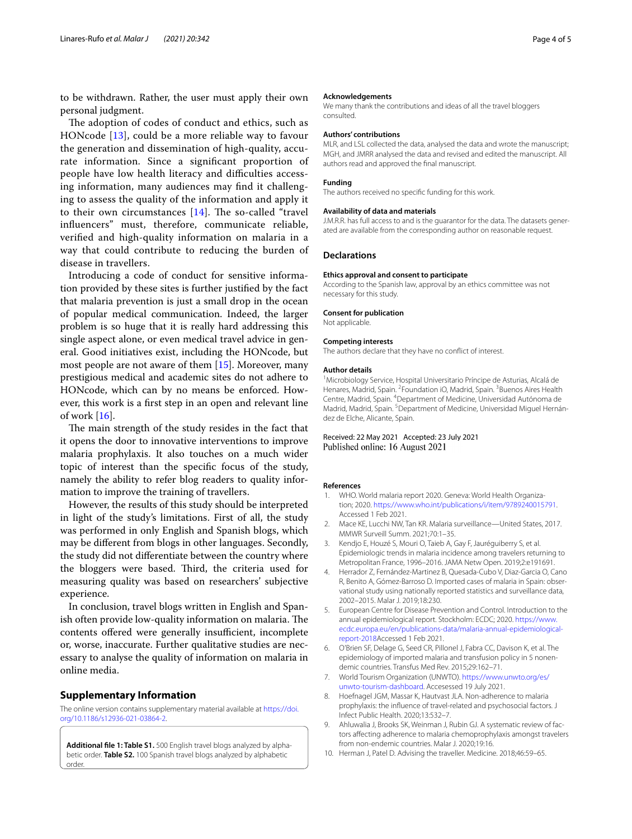to be withdrawn. Rather, the user must apply their own personal judgment.

The adoption of codes of conduct and ethics, such as HONcode [\[13](#page-4-2)], could be a more reliable way to favour the generation and dissemination of high-quality, accurate information. Since a signifcant proportion of people have low health literacy and difficulties accessing information, many audiences may fnd it challenging to assess the quality of the information and apply it to their own circumstances  $[14]$  $[14]$ . The so-called "travel" infuencers" must, therefore, communicate reliable, verifed and high-quality information on malaria in a way that could contribute to reducing the burden of disease in travellers.

Introducing a code of conduct for sensitive information provided by these sites is further justifed by the fact that malaria prevention is just a small drop in the ocean of popular medical communication. Indeed, the larger problem is so huge that it is really hard addressing this single aspect alone, or even medical travel advice in general. Good initiatives exist, including the HONcode, but most people are not aware of them [[15](#page-4-4)]. Moreover, many prestigious medical and academic sites do not adhere to HONcode, which can by no means be enforced. However, this work is a frst step in an open and relevant line of work  $[16]$  $[16]$ .

The main strength of the study resides in the fact that it opens the door to innovative interventions to improve malaria prophylaxis. It also touches on a much wider topic of interest than the specifc focus of the study, namely the ability to refer blog readers to quality information to improve the training of travellers.

However, the results of this study should be interpreted in light of the study's limitations. First of all, the study was performed in only English and Spanish blogs, which may be diferent from blogs in other languages. Secondly, the study did not diferentiate between the country where the bloggers were based. Third, the criteria used for measuring quality was based on researchers' subjective experience.

In conclusion, travel blogs written in English and Spanish often provide low-quality information on malaria. The contents offered were generally insufficient, incomplete or, worse, inaccurate. Further qualitative studies are necessary to analyse the quality of information on malaria in online media.

#### **Supplementary Information**

The online version contains supplementary material available at [https://doi.](https://doi.org/10.1186/s12936-021-03864-2) [org/10.1186/s12936-021-03864-2](https://doi.org/10.1186/s12936-021-03864-2).

<span id="page-3-10"></span>Additional file 1: Table S1. 500 English travel blogs analyzed by alphabetic order. **Table S2.** 100 Spanish travel blogs analyzed by alphabetic order.

#### **Acknowledgements**

We many thank the contributions and ideas of all the travel bloggers consulted.

#### **Authors' contributions**

MLR, and LSL collected the data, analysed the data and wrote the manuscript; MGH, and JMRR analysed the data and revised and edited the manuscript. All authors read and approved the fnal manuscript.

#### **Funding**

The authors received no specifc funding for this work.

#### **Availability of data and materials**

J.M.R.R. has full access to and is the guarantor for the data. The datasets generated are available from the corresponding author on reasonable request.

## **Declarations**

#### **Ethics approval and consent to participate**

According to the Spanish law, approval by an ethics committee was not necessary for this study.

#### **Consent for publication**

Not applicable.

#### **Competing interests**

The authors declare that they have no confict of interest.

#### **Author details**

<sup>1</sup> Microbiology Service, Hospital Universitario Príncipe de Asturias, Alcalá de Henares, Madrid, Spain. <sup>2</sup> Foundation iO, Madrid, Spain. <sup>3</sup> Buenos Aires Health Centre, Madrid, Spain. <sup>4</sup>Department of Medicine, Universidad Autónoma de Madrid, Madrid, Spain. <sup>5</sup>Department of Medicine, Universidad Miguel Hernández de Elche, Alicante, Spain.

#### Received: 22 May 2021 Accepted: 23 July 2021 Published online: 16 August 2021

#### **References**

- <span id="page-3-0"></span>1. WHO. World malaria report 2020. Geneva: World Health Organization; 2020.<https://www.who.int/publications/i/item/9789240015791>. Accessed 1 Feb 2021.
- <span id="page-3-1"></span>2. Mace KE, Lucchi NW, Tan KR. Malaria surveillance—United States, 2017. MMWR Surveill Summ. 2021;70:1–35.
- <span id="page-3-2"></span>3. Kendjo E, Houzé S, Mouri O, Taieb A, Gay F, Jauréguiberry S, et al. Epidemiologic trends in malaria incidence among travelers returning to Metropolitan France, 1996–2016. JAMA Netw Open. 2019;2:e191691.
- <span id="page-3-3"></span>4. Herrador Z, Fernández-Martinez B, Quesada-Cubo V, Diaz-Garcia O, Cano R, Benito A, Gómez-Barroso D. Imported cases of malaria in Spain: observational study using nationally reported statistics and surveillance data, 2002–2015. Malar J. 2019;18:230.
- <span id="page-3-4"></span>5. European Centre for Disease Prevention and Control. Introduction to the annual epidemiological report. Stockholm: ECDC; 2020. [https://www.](https://www.ecdc.europa.eu/en/publications-data/malaria-annual-epidemiological-report-2018) [ecdc.europa.eu/en/publications-data/malaria-annual-epidemiological](https://www.ecdc.europa.eu/en/publications-data/malaria-annual-epidemiological-report-2018) [report-2018](https://www.ecdc.europa.eu/en/publications-data/malaria-annual-epidemiological-report-2018)Accessed 1 Feb 2021.
- <span id="page-3-5"></span>6. O'Brien SF, Delage G, Seed CR, Pillonel J, Fabra CC, Davison K, et al. The epidemiology of imported malaria and transfusion policy in 5 nonendemic countries. Transfus Med Rev. 2015;29:162–71.
- <span id="page-3-6"></span>7. World Tourism Organization (UNWTO). [https://www.unwto.org/es/](https://www.unwto.org/es/unwto-tourism-dashboard) [unwto-tourism-dashboard](https://www.unwto.org/es/unwto-tourism-dashboard). Accesessed 19 July 2021.
- <span id="page-3-7"></span>8. Hoefnagel JGM, Massar K, Hautvast JLA. Non-adherence to malaria prophylaxis: the infuence of travel-related and psychosocial factors. J Infect Public Health. 2020;13:532–7.
- <span id="page-3-8"></span>9. Ahluwalia J, Brooks SK, Weinman J, Rubin GJ. A systematic review of factors afecting adherence to malaria chemoprophylaxis amongst travelers from non-endemic countries. Malar J. 2020;19:16.
- <span id="page-3-9"></span>10. Herman J, Patel D. Advising the traveller. Medicine. 2018;46:59–65.